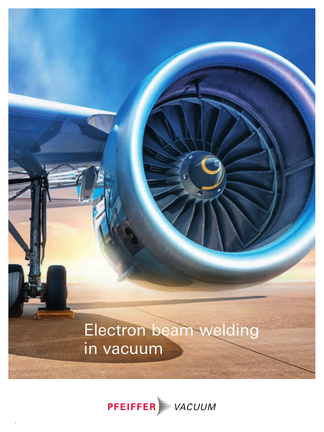

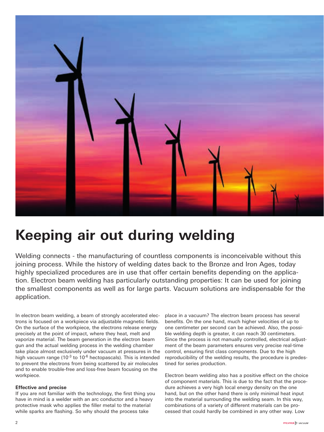

# **Keeping air out during welding**

Welding connects - the manufacturing of countless components is inconceivable without this joining process. While the history of welding dates back to the Bronze and Iron Ages, today highly specialized procedures are in use that offer certain benefits depending on the application. Electron beam welding has particularly outstanding properties: It can be used for joining the smallest components as well as for large parts. Vacuum solutions are indispensable for the application.

In electron beam welding, a beam of strongly accelerated electrons is focused on a workpiece via adjustable magnetic fields. On the surface of the workpiece, the electrons release energy precisely at the point of impact, where they heat, melt and vaporize material. The beam generation in the electron beam gun and the actual welding process in the welding chamber take place almost exclusively under vacuum at pressures in the high vacuum range ( $10^{-3}$  to  $10^{-6}$  hectopascals). This is intended to prevent the electrons from being scattered by air molecules and to enable trouble-free and loss-free beam focusing on the workpiece.

#### **Effective and precise**

If you are not familiar with the technology, the first thing you have in mind is a welder with an arc conductor and a heavy protective mask who applies the filler metal to the material while sparks are flashing. So why should the process take

place in a vacuum? The electron beam process has several benefits. On the one hand, much higher velocities of up to one centimeter per second can be achieved. Also, the possible welding depth is greater, it can reach 30 centimeters. Since the process is not manually controlled, electrical adjustment of the beam parameters ensures very precise real-time control, ensuring first class components. Due to the high reproducibility of the welding results, the procedure is predestined for series production.

Electron beam welding also has a positive effect on the choice of component materials. This is due to the fact that the procedure achieves a very high local energy density on the one hand, but on the other hand there is only minimal heat input into the material surrounding the welding seam. In this way, combinations of a variety of different materials can be processed that could hardly be combined in any other way. Low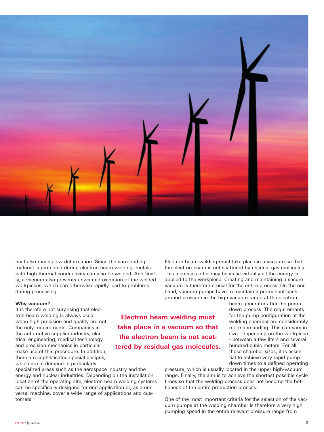

heat also means low deformation. Since the surrounding material is protected during electron beam welding, metals with high thermal conductivity can also be welded. And finally, a vacuum also prevents unwanted oxidation of the welded workpieces, which can otherwise rapidly lead to problems during processing.

#### **Why vacuum?**

It is therefore not surprising that electron beam welding is always used when high precision and quality are not the only requirements. Companies in the automotive supplier industry, electrical engineering, medical technology and precision mechanics in particular make use of this procedure. In addition, there are sophisticated special designs, which are in demand in particularly

specialized areas such as the aerospace industry and the energy and nuclear industries. Depending on the installation location of the operating site, electron beam welding systems can be specifically designed for one application or, as a universal machine, cover a wide range of applications and customers.

Electron beam welding must take place in a vacuum so that the electron beam is not scattered by residual gas molecules. This increases efficiency because virtually all the energy is applied to the workpiece. Creating and maintaining a secure vacuum is therefore crucial for the entire process. On the one hand, vacuum pumps have to maintain a permanent background pressure in the high vacuum range at the electron

**Electron beam welding must take place in a vacuum so that the electron beam is not scattered by residual gas molecules.** beam generator after the pumpdown process. The requirements for the pump configuration at the welding chamber are considerably more demanding. This can vary in size - depending on the workpiece - between a few liters and several hundred cubic meters. For all these chamber sizes, it is essential to achieve very rapid pumpdown times to a defined operating

pressure, which is usually located in the upper high-vacuum range. Finally, the aim is to achieve the shortest possible cycle times so that the welding process does not become the bottleneck of the entire production process.

One of the most important criteria for the selection of the vacuum pumps at the welding chamber is therefore a very high pumping speed in the entire relevant pressure range from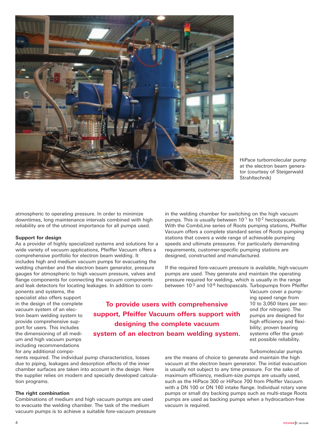

HiPace turbomolecular pump at the electron beam generator (courtesy of Steigerwald Strahltechnik)

atmospheric to operating pressure. In order to minimize downtimes, long maintenance intervals combined with high reliability are of the utmost importance for all pumps used.

#### **Support for design**

As a provider of highly specialized systems and solutions for a wide variety of vacuum applications, Pfeiffer Vacuum offers a comprehensive portfolio for electron beam welding. It includes high and medium vacuum pumps for evacuating the welding chamber and the electron beam generator, pressure gauges for atmospheric to high vacuum pressure, valves and flange components for connecting the vacuum components and leak detectors for locating leakages. In addition to com-

ponents and systems, the specialist also offers support in the design of the complete vacuum system of an electron beam welding system to provide comprehensive support for users. This includes the dimensioning of all medium and high vacuum pumps including recommendations for any additional compo-

**To provide users with comprehensive support, Pfeiffer Vacuum offers support with designing the complete vacuum system of an electron beam welding system.**

nents required. The individual pump characteristics, losses due to piping, leakages and desorption effects of the inner chamber surfaces are taken into account in the design. Here the supplier relies on modern and specially developed calculation programs.

#### **The right combination**

Combinations of medium and high vacuum pumps are used to evacuate the welding chamber. The task of the medium vacuum pumps is to achieve a suitable fore-vacuum pressure in the welding chamber for switching on the high vacuum pumps. This is usually between  $10^{-1}$  to  $10^{-2}$  hectopascals. With the CombiLine series of Roots pumping stations, Pfeiffer Vacuum offers a complete standard series of Roots pumping stations that covers a wide range of achievable pumping speeds and ultimate pressures. For particularly demanding requirements, customer-specific pumping stations are designed, constructed and manufactured.

If the required fore-vacuum pressure is available, high-vacuum pumps are used. They generate and maintain the operating pressure required for welding, which is usually in the range between 10<sup>-3</sup> and 10<sup>-6</sup> hectopascals. Turbopumps from Pfeiffer

Vacuum cover a pumping speed range from 10 to 3,050 liters per second (for nitrogen). The pumps are designed for high efficiency and flexibility; proven bearing systems offer the greatest possible reliability.

#### Turbomolecular pumps

are the means of choice to generate and maintain the high vacuum at the electron beam generator. The initial evacuation is usually not subject to any time pressure. For the sake of maximum efficiency, medium-size pumps are usually used, such as the HiPace 300 or HiPace 700 from Pfeiffer Vacuum with a DN 100 or DN 160 intake flange. Individual rotary vane pumps or small dry backing pumps such as multi-stage Roots pumps are used as backing pumps when a hydrocarbon-free vacuum is required.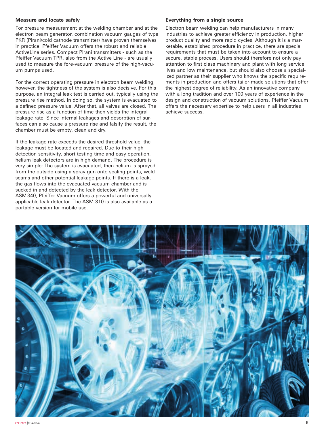#### **Measure and locate safely**

For pressure measurement at the welding chamber and at the electron beam generator, combination vacuum gauges of type PKR (Pirani/cold cathode transmitter) have proven themselves in practice. Pfeiffer Vacuum offers the robust and reliable ActiveLine series. Compact Pirani transmitters - such as the Pfeiffer Vacuum TPR, also from the Active Line - are usually used to measure the fore-vacuum pressure of the high-vacuum pumps used.

For the correct operating pressure in electron beam welding, however, the tightness of the system is also decisive. For this purpose, an integral leak test is carried out, typically using the pressure rise method. In doing so, the system is evacuated to a defined pressure value. After that, all valves are closed. The pressure rise as a function of time then yields the integral leakage rate. Since internal leakages and desorption of surfaces can also cause a pressure rise and falsify the result, the chamber must be empty, clean and dry.

If the leakage rate exceeds the desired threshold value, the leakage must be located and repaired. Due to their high detection sensitivity, short testing time and easy operation, helium leak detectors are in high demand. The procedure is very simple: The system is evacuated, then helium is sprayed from the outside using a spray gun onto sealing points, weld seams and other potential leakage points. If there is a leak, the gas flows into the evacuated vacuum chamber and is sucked in and detected by the leak detector. With the ASM340, Pfeiffer Vacuum offers a powerful and universally applicable leak detector. The ASM 310 is also available as a portable version for mobile use.

#### **Everything from a single source**

Electron beam welding can help manufacturers in many industries to achieve greater efficiency in production, higher product quality and more rapid cycles. Although it is a marketable, established procedure in practice, there are special requirements that must be taken into account to ensure a secure, stable process. Users should therefore not only pay attention to first class machinery and plant with long service lives and low maintenance, but should also choose a specialized partner as their supplier who knows the specific requirements in production and offers tailor-made solutions that offer the highest degree of reliability. As an innovative company with a long tradition and over 100 years of experience in the design and construction of vacuum solutions, Pfeiffer Vacuum offers the necessary expertise to help users in all industries achieve success.

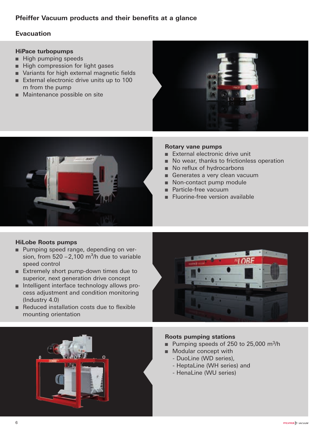# **Pfeiffer Vacuum products and their benefits at a glance**

# **Evacuation**

### **HiPace turbopumps**

- High pumping speeds
- High compression for light gases
- Variants for high external magnetic fields
- External electronic drive units up to 100 m from the pump
- Maintenance possible on site





#### **Rotary vane pumps**

- External electronic drive unit
- No wear, thanks to frictionless operation
- No reflux of hydrocarbons
- Generates a very clean vacuum
- Non-contact pump module
- Particle-free vacuum
- Fluorine-free version available

## **HiLobe Roots pumps**

- Pumping speed range, depending on version, from  $520 - 2,100$  m<sup>3</sup>/h due to variable speed control
- Extremely short pump-down times due to superior, next generation drive concept
- Intelligent interface technology allows process adjustment and condition monitoring (Industry 4.0)
- Reduced installation costs due to flexible mounting orientation





#### **Roots pumping stations**

- Pumping speeds of 250 to 25,000 m<sup>3</sup>/h
- Modular concept with
	- DuoLine (WD series),
	- HeptaLine (WH series) and
	- HenaLine (WU series)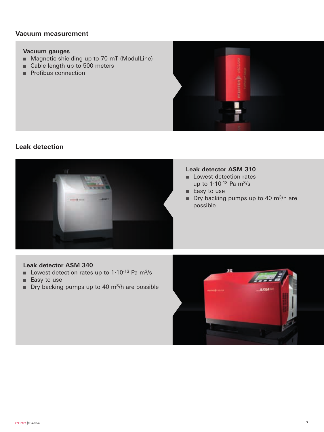## **Vacuum measurement**

#### **Vacuum gauges**

- Magnetic shielding up to 70 mT (ModulLine)
- Cable length up to 500 meters
- Profibus connection



## **Leak detection**



#### **Leak detector ASM 310**

- Lowest detection rates up to 1·10-13 Pa m3/s
- Easy to use
- Dry backing pumps up to 40 m<sup>3</sup>/h are possible

# **Leak detector ASM 340**

- Lowest detection rates up to 1.10<sup>-13</sup> Pa m<sup>3</sup>/s
- Easy to use
- Dry backing pumps up to 40 m<sup>3</sup>/h are possible